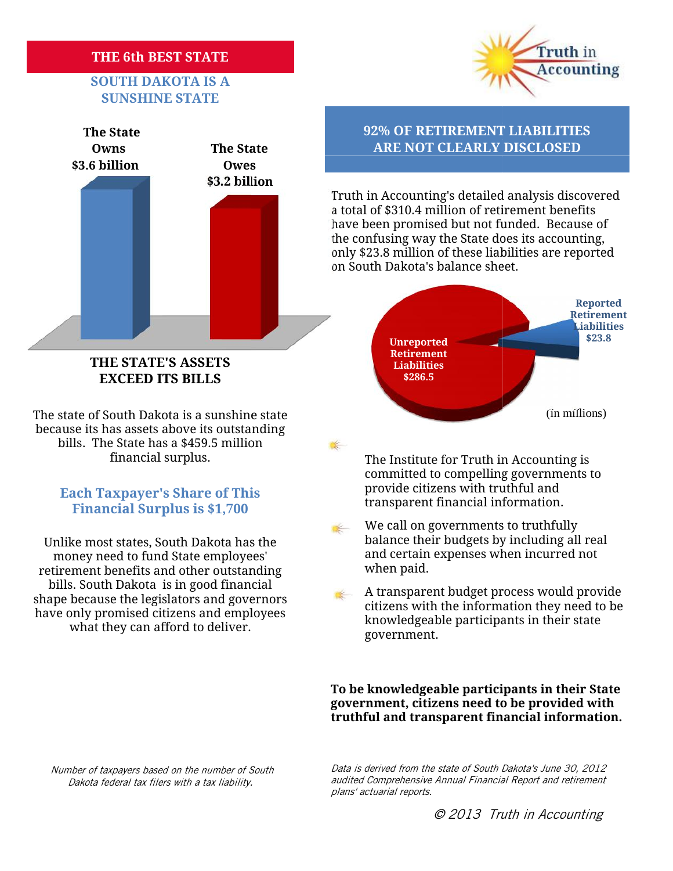## **THE 6th BEST STATE BEST STATE**

## **SOUTH DAKOTA IS A SUNSHINE STATE**





### **THE STATE'S ASSETS EXCEED ITS BILLS**

The state of South Dakota is a sunshine state because its has assets above its outstanding bills. The State has a \$459.5 million financial surplus.

## **Financial Surplus is \$1,700 Each Taxpayer's Share of This**

Unlike most states, South Dakota has the money need to fund State employees' retirement benefits and other outstanding bills. South Dakota is in good financial shape because the legislators and governors have only promised citizens and employees what they can afford to deliver.

Truth in Accounting's detailed analysis discovered<br>a total of \$310.4 million of retirement benefits a total of \$310.4 million of retirement benefits have been promised but not funded. Because of the confusing way the State does its accounting, only \$23.8 million of these liabilities are reported on South Dakota's balance sheet.



The Institute for Truth in Accounting is committed to compelling governments to provide citizens with truthful and  $\overline{\text{transparent}}$  financial information.

A transparent budget process would provide A transparent budget process would provide<br>citizens with the information they need to be knowledgeable participants in their state government.

**To be knowledgeable participants in their State** To be knowledgeable participants in their State<br>government, citizens need to be provided with **truthful and transparent financial information.**

*Number of taxpayers based on the number of South Dakota federal tax filers with a tax liability.*

*Data is derived from the state of South Dakota's June 30, 2012 South Dakota's audited Comprehensive Annual Financial Report and retirement plans' actuarial reports.* taxpayers based on the number of South *Data is derived from the state of South Dakota's June*<br>federal tax filers with a tax liability. *audited Comprehensive Annual Financial Report and*<br>plans' actuarial reports.

We call on governments to truthfully  $\frac{1}{2}$ balance their budgets by including all real and certain expenses when incurred not when paid.